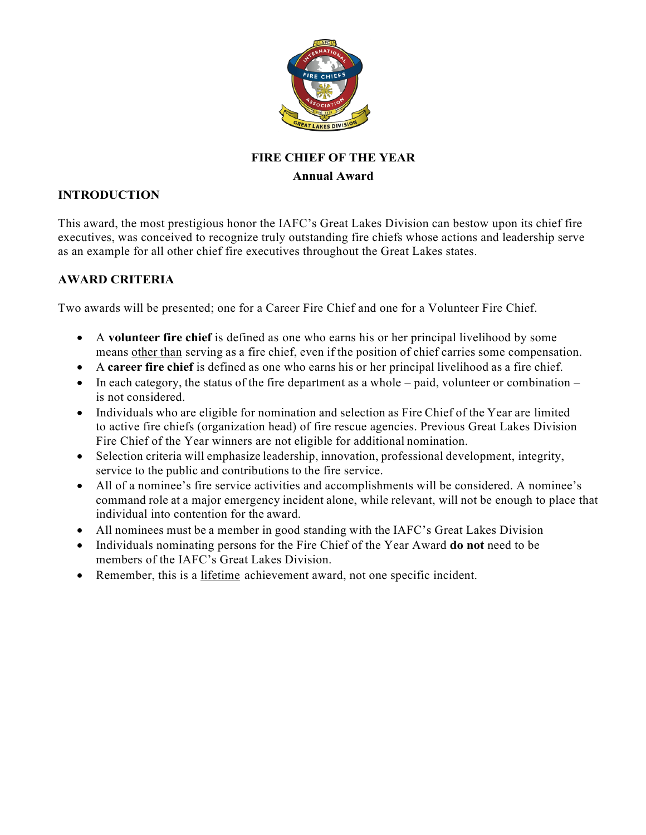

# **FIRE CHIEF OF THE YEAR Annual Award**

# **INTRODUCTION**

This award, the most prestigious honor the IAFC's Great Lakes Division can bestow upon its chief fire executives, was conceived to recognize truly outstanding fire chiefs whose actions and leadership serve as an example for all other chief fire executives throughout the Great Lakes states.

# **AWARD CRITERIA**

Two awards will be presented; one for a Career Fire Chief and one for a Volunteer Fire Chief.

- A **volunteer fire chief** is defined as one who earns his or her principal livelihood by some means other than serving as a fire chief, even if the position of chief carries some compensation.
- A **career fire chief** is defined as one who earns his or her principal livelihood as a fire chief.
- In each category, the status of the fire department as a whole  $-$  paid, volunteer or combination  $$ is not considered.
- Individuals who are eligible for nomination and selection as Fire Chief of the Year are limited to active fire chiefs (organization head) of fire rescue agencies. Previous Great Lakes Division Fire Chief of the Year winners are not eligible for additional nomination.
- Selection criteria will emphasize leadership, innovation, professional development, integrity, service to the public and contributions to the fire service.
- All of a nominee's fire service activities and accomplishments will be considered. A nominee's command role at a major emergency incident alone, while relevant, will not be enough to place that individual into contention for the award.
- All nominees must be a member in good standing with the IAFC's Great Lakes Division
- Individuals nominating persons for the Fire Chief of the Year Award **do not** need to be members of the IAFC's Great Lakes Division.
- Remember, this is a lifetime achievement award, not one specific incident.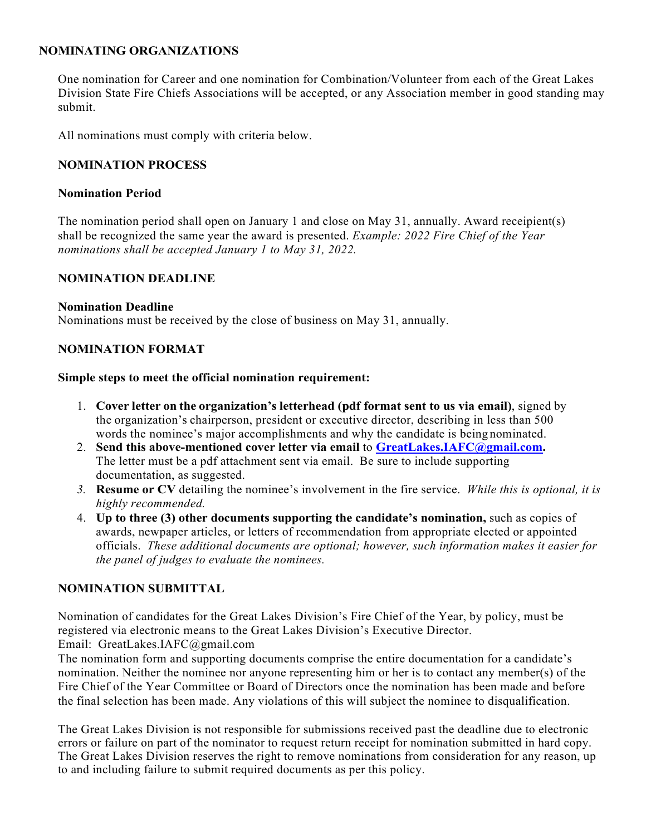## **NOMINATING ORGANIZATIONS**

One nomination for Career and one nomination for Combination/Volunteer from each of the Great Lakes Division State Fire Chiefs Associations will be accepted, or any Association member in good standing may submit.

All nominations must comply with criteria below.

## **NOMINATION PROCESS**

## **Nomination Period**

The nomination period shall open on January 1 and close on May 31, annually. Award receipient(s) shall be recognized the same year the award is presented. *Example: 2022 Fire Chief of the Year nominations shall be accepted January 1 to May 31, 2022.*

## **NOMINATION DEADLINE**

#### **Nomination Deadline**

Nominations must be received by the close of business on May 31, annually.

## **NOMINATION FORMAT**

#### **Simple steps to meet the official nomination requirement:**

- 1. **Cover letter on the organization's letterhead (pdf format sent to us via email)**, signed by the organization's chairperson, president or executive director, describing in less than 500 words the nominee's major accomplishments and why the candidate is being nominated.
- 2. **Send this above-mentioned cover letter via email** to **GreatLakes.IAFC@gmail.com.**  The letter must be a pdf attachment sent via email. Be sure to include supporting documentation, as suggested.
- *3.* **Resume or CV** detailing the nominee's involvement in the fire service. *While this is optional, it is highly recommended.*
- 4. **Up to three (3) other documents supporting the candidate's nomination,** such as copies of awards, newpaper articles, or letters of recommendation from appropriate elected or appointed officials. *These additional documents are optional; however, such information makes it easier for the panel of judges to evaluate the nominees.*

## **NOMINATION SUBMITTAL**

Nomination of candidates for the Great Lakes Division's Fire Chief of the Year, by policy, must be registered via electronic means to the Great Lakes Division's Executive Director.

Email: GreatLakes.IAFC@gmail.com

The nomination form and supporting documents comprise the entire documentation for a candidate's nomination. Neither the nominee nor anyone representing him or her is to contact any member(s) of the Fire Chief of the Year Committee or Board of Directors once the nomination has been made and before the final selection has been made. Any violations of this will subject the nominee to disqualification.

The Great Lakes Division is not responsible for submissions received past the deadline due to electronic errors or failure on part of the nominator to request return receipt for nomination submitted in hard copy. The Great Lakes Division reserves the right to remove nominations from consideration for any reason, up to and including failure to submit required documents as per this policy.